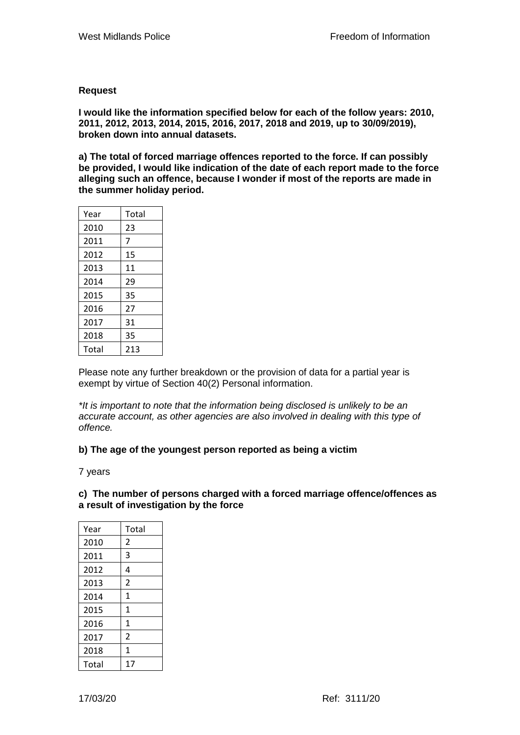## **Request**

**I would like the information specified below for each of the follow years: 2010, 2011, 2012, 2013, 2014, 2015, 2016, 2017, 2018 and 2019, up to 30/09/2019), broken down into annual datasets.**

**a) The total of forced marriage offences reported to the force. If can possibly be provided, I would like indication of the date of each report made to the force alleging such an offence, because I wonder if most of the reports are made in the summer holiday period.** 

| Year  | Total |
|-------|-------|
| 2010  | 23    |
| 2011  | 7     |
| 2012  | 15    |
| 2013  | 11    |
| 2014  | 29    |
| 2015  | 35    |
| 2016  | 27    |
| 2017  | 31    |
| 2018  | 35    |
| Total | 213   |

Please note any further breakdown or the provision of data for a partial year is exempt by virtue of Section 40(2) Personal information.

*\*It is important to note that the information being disclosed is unlikely to be an accurate account, as other agencies are also involved in dealing with this type of offence.*

## **b) The age of the youngest person reported as being a victim**

7 years

## **c) The number of persons charged with a forced marriage offence/offences as a result of investigation by the force**

| Year  | Total          |
|-------|----------------|
| 2010  | 2              |
| 2011  | 3              |
| 2012  | 4              |
| 2013  | $\overline{2}$ |
| 2014  | $\mathbf{1}$   |
| 2015  | $\mathbf{1}$   |
| 2016  | $\mathbf{1}$   |
| 2017  | $\overline{2}$ |
| 2018  | 1              |
| Total | 17             |